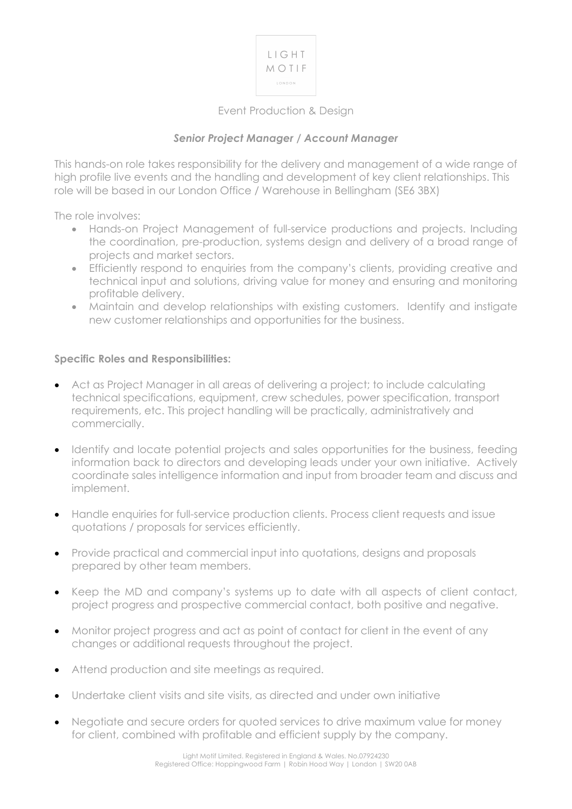

# Event Production & Design

## *Senior Project Manager / Account Manager*

This hands-on role takes responsibility for the delivery and management of a wide range of high profile live events and the handling and development of key client relationships. This role will be based in our London Office / Warehouse in Bellingham (SE6 3BX)

The role involves:

- Hands-on Project Management of full-service productions and projects. Including the coordination, pre-production, systems design and delivery of a broad range of projects and market sectors.
- Efficiently respond to enquiries from the company's clients, providing creative and technical input and solutions, driving value for money and ensuring and monitoring profitable delivery.
- Maintain and develop relationships with existing customers. Identify and instigate new customer relationships and opportunities for the business.

#### **Specific Roles and Responsibilities:**

- Act as Project Manager in all areas of delivering a project; to include calculating technical specifications, equipment, crew schedules, power specification, transport requirements, etc. This project handling will be practically, administratively and commercially.
- Identify and locate potential projects and sales opportunities for the business, feeding information back to directors and developing leads under your own initiative. Actively coordinate sales intelligence information and input from broader team and discuss and implement.
- Handle enquiries for full-service production clients. Process client requests and issue quotations / proposals for services efficiently.
- Provide practical and commercial input into quotations, designs and proposals prepared by other team members.
- Keep the MD and company's systems up to date with all aspects of client contact, project progress and prospective commercial contact, both positive and negative.
- Monitor project progress and act as point of contact for client in the event of any changes or additional requests throughout the project.
- Attend production and site meetings as required.
- Undertake client visits and site visits, as directed and under own initiative
- Negotiate and secure orders for quoted services to drive maximum value for money for client, combined with profitable and efficient supply by the company.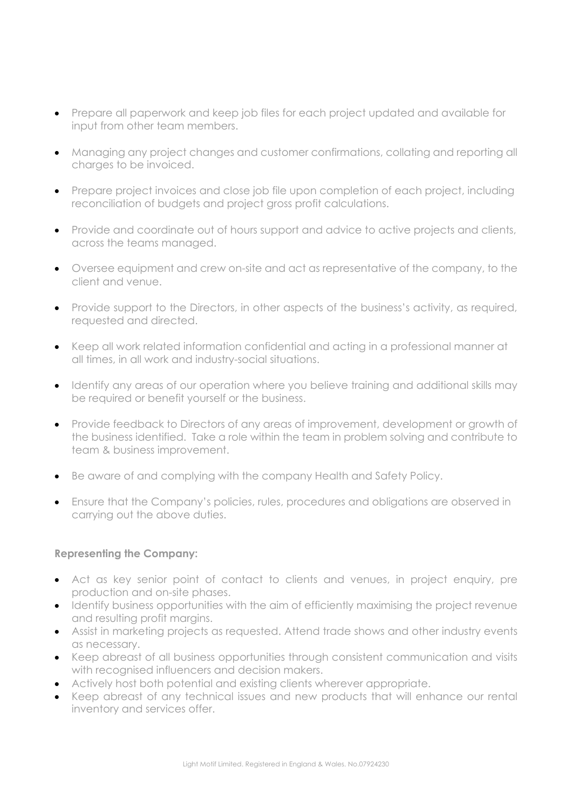- Prepare all paperwork and keep job files for each project updated and available for input from other team members.
- Managing any project changes and customer confirmations, collating and reporting all charges to be invoiced.
- Prepare project invoices and close job file upon completion of each project, including reconciliation of budgets and project gross profit calculations.
- Provide and coordinate out of hours support and advice to active projects and clients, across the teams managed.
- Oversee equipment and crew on-site and act as representative of the company, to the client and venue.
- Provide support to the Directors, in other aspects of the business's activity, as required, requested and directed.
- Keep all work related information confidential and acting in a professional manner at all times, in all work and industry-social situations.
- Identify any areas of our operation where you believe training and additional skills may be required or benefit yourself or the business.
- Provide feedback to Directors of any areas of improvement, development or growth of the business identified. Take a role within the team in problem solving and contribute to team & business improvement.
- Be aware of and complying with the company Health and Safety Policy.
- Ensure that the Company's policies, rules, procedures and obligations are observed in carrying out the above duties.

### **Representing the Company:**

- Act as key senior point of contact to clients and venues, in project enquiry, pre production and on-site phases.
- Identify business opportunities with the aim of efficiently maximising the project revenue and resulting profit margins.
- Assist in marketing projects as requested. Attend trade shows and other industry events as necessary.
- Keep abreast of all business opportunities through consistent communication and visits with recognised influencers and decision makers.
- Actively host both potential and existing clients wherever appropriate.
- Keep abreast of any technical issues and new products that will enhance our rental inventory and services offer.